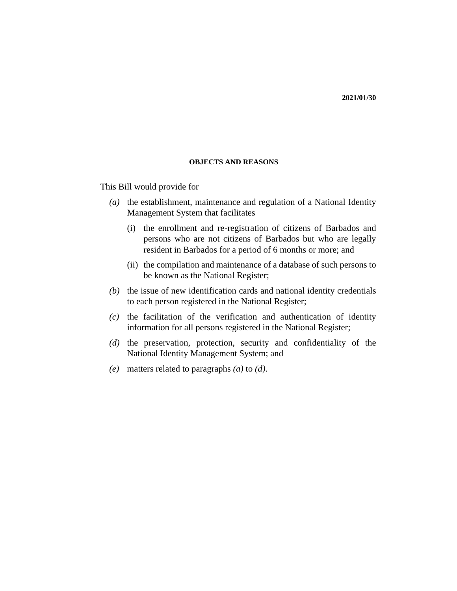#### **OBJECTS AND REASONS**

This Bill would provide for

- (a) the establishment, maintenance and regulation of a National Identity Management System that facilitates
	- (i) the enrollment and re-registration of citizens of Barbados and persons who are not citizens of Barbados but who are legally resident in Barbados for a period of 6 months or more; and
	- (ii) the compilation and maintenance of a database of such persons to be known as the National Register;
- $(b)$  the issue of new identification cards and national identity credentials to each person registered in the National Register;
- $(c)$  the facilitation of the verification and authentication of identity information for all persons registered in the National Register;
- (d) the preservation, protection, security and confidentiality of the National Identity Management System; and
- matters related to paragraphs *(a)* to *(d)*. *(e)*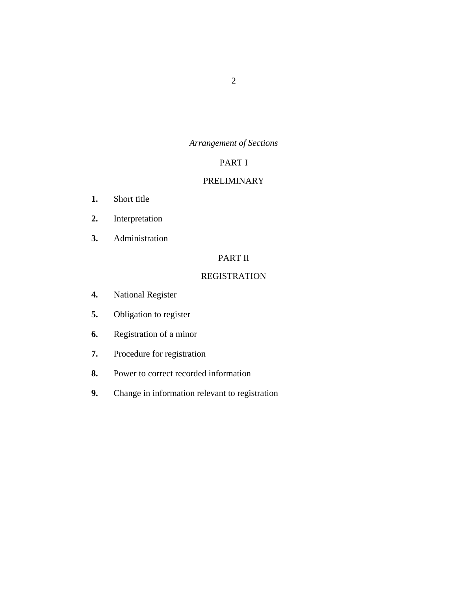# *Arrangement of Sections*

# PART I

# [PRELIMINARY](#page-7-0)

- [Short title](#page-7-0) **1.**
- [Interpretation](#page-7-0) **2.**
- [Administration](#page-11-0) **3.**

# PART II

# [REGISTRATION](#page-11-0)

- [National Register](#page-11-0) **4.**
- [Obligation to register](#page-13-0) **5.**
- [Registration of a minor](#page-15-0) **6.**
- [Procedure for registration](#page-16-0) **7.**
- [Power to correct recorded information](#page-19-0) **8.**
- [Change in information relevant to registration](#page-20-0) **9.**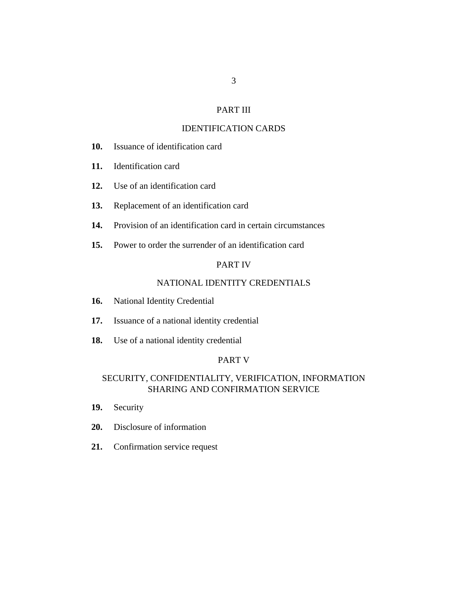# PART III

# [IDENTIFICATION CARDS](#page-21-0)

- [Issuance of identification card](#page-21-0) **10.**
- [Identification card](#page-22-0) **11.**
- [Use of an identification card](#page-23-0) **12.**
- [Replacement of an identification card](#page-23-0) **13.**
- [Provision of an identification card in certain circumstances](#page-24-0) **14.**
- [Power to order the surrender of an identification card](#page-25-0) **15.**

# PART IV

# [NATIONAL IDENTITY CREDENTIALS](#page-26-0)

- [National Identity Credential](#page-26-0) **16.**
- [Issuance of a national identity credential](#page-27-0) **17.**
- [Use of a national identity credential](#page-28-0) **18.**

#### PART V

# [SECURITY, CONFIDENTIALITY, VERIFICATION, INFORMATION](#page-28-0) SHARING AND CONFIRMATION SERVICE

- [Security](#page-28-0) **19.**
- [Disclosure of information](#page-28-0) **20.**
- [Confirmation service request](#page-29-0) **21.**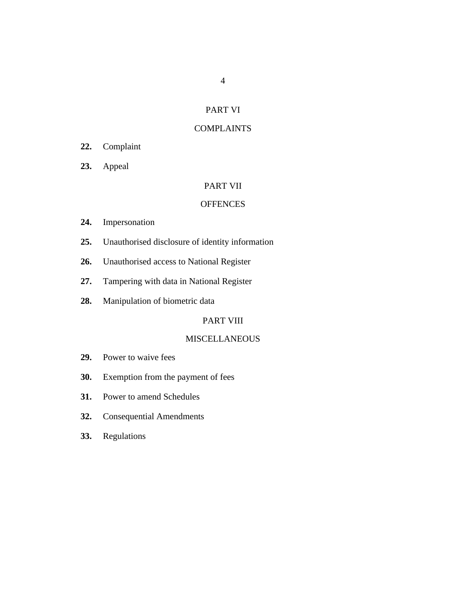# PART VI

# [COMPLAINTS](#page-30-0)

- [Complaint](#page-30-0) **22.**
- [Appeal](#page-30-0) **23.**

# PART VII

## **[OFFENCES](#page-30-0)**

- [Impersonation](#page-30-0) **24.**
- [Unauthorised disclosure of identity information](#page-31-0) **25.**
- [Unauthorised access to National Register](#page-31-0) **26.**
- [Tampering with data in National Register](#page-32-0) **27.**
- [Manipulation of biometric data](#page-32-0) **28.**

# PART VIII

# [MISCELLANEOUS](#page-33-0)

- [Power to waive fees](#page-33-0) **29.**
- [Exemption from the payment of fees](#page-33-0) **30.**
- [Power to amend Schedules](#page-34-0) **31.**
- [Consequential Amendments](#page-34-0) **32.**
- [Regulations](#page-34-0) **33.**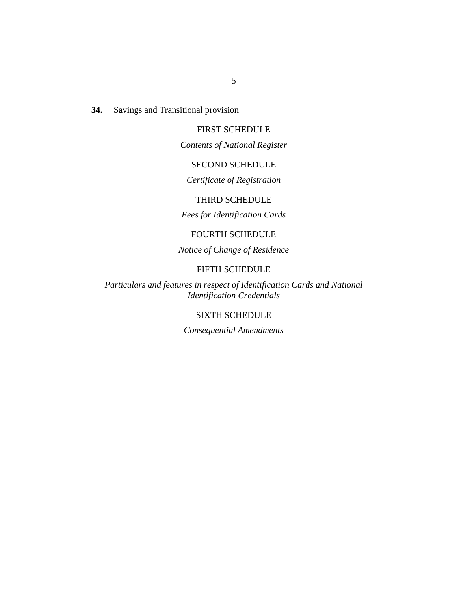[Savings and Transitional provision](#page-34-0) **34.**

# FIRST SCHEDULE

*[Contents of National Register](#page-37-0)*

# SECOND SCHEDULE

*Certificate of Registration*

## THIRD SCHEDULE

*Fees for Identification Cards*

# FOURTH SCHEDULE

*Notice of Change of Residence*

### FIFTH SCHEDULE

*Particulars and features in respect of Identification Cards and National Identification Credentials*

# SIXTH SCHEDULE

*Consequential Amendments*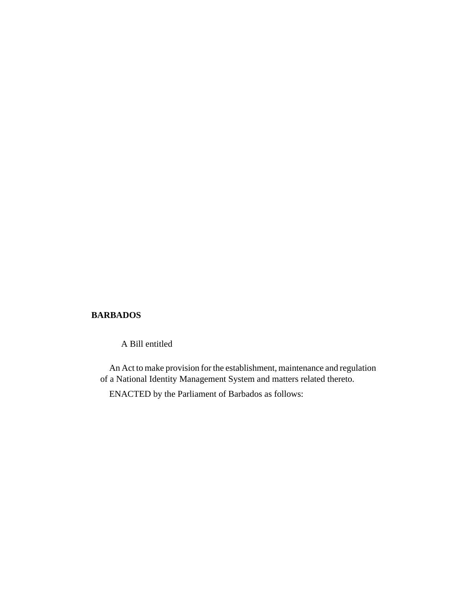# **BARBADOS**

A Bill entitled

An Act to make provision for the establishment, maintenance and regulation of a National Identity Management System and matters related thereto.

ENACTED by the Parliament of Barbados as follows: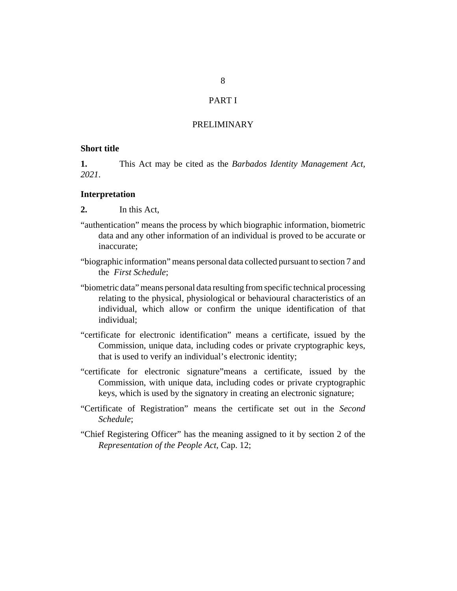# PART I

# PRELIMINARY

# <span id="page-7-0"></span>**Short title**

This Act may be cited as the *Barbados Identity Management Act, 2021*. **1.**

#### **Interpretation**

- In this Act, **2.**
- "authentication" means the process by which biographic information, biometric data and any other information of an individual is proved to be accurate or inaccurate;
- "biographic information" means personal data collected pursuant to section 7 and the *First Schedule*;
- "biometric data" means personal data resulting from specific technical processing relating to the physical, physiological or behavioural characteristics of an individual, which allow or confirm the unique identification of that individual;
- "certificate for electronic identification" means a certificate, issued by the Commission, unique data, including codes or private cryptographic keys, that is used to verify an individual's electronic identity;
- "certificate for electronic signature"means a certificate, issued by the Commission, with unique data, including codes or private cryptographic keys, which is used by the signatory in creating an electronic signature;
- "Certificate of Registration" means the certificate set out in the *Second Schedule*;
- "Chief Registering Officer" has the meaning assigned to it by section 2 of the *[Representation of the People Act](http://barbadosparliament-laws.com/en/showdoc/cs/12)*, Cap. 12;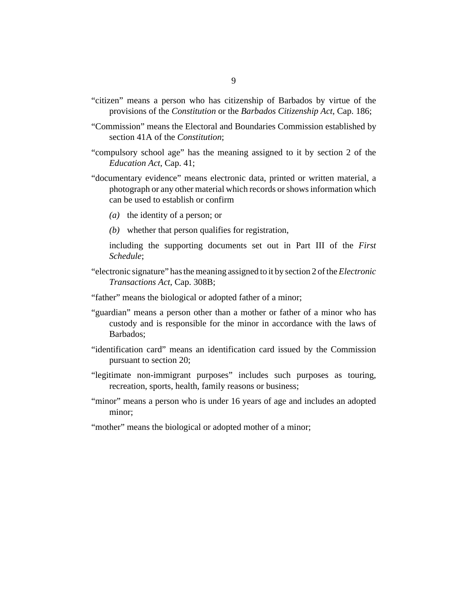- "citizen" means a person who has citizenship of Barbados by virtue of the provisions of the *Constitution* or the *[Barbados Citizenship Act](http://barbadosparliament-laws.com/en/showdoc/cs/186)*, Cap. 186;
- "Commission" means the Electoral and Boundaries Commission established by section 41A of the *Constitution*;
- "compulsory school age" has the meaning assigned to it by section 2 of the *[Education Act](http://barbadosparliament-laws.com/en/showdoc/cs/41)*, Cap. 41;
- "documentary evidence" means electronic data, printed or written material, a photograph or any other material which records or shows information which can be used to establish or confirm
	- (a) the identity of a person; or
	- whether that person qualifies for registration, *(b)*

including the supporting documents set out in Part III of the *First Schedule*;

- "electronic signature" has the meaning assigned to it by section 2 of the *[Electronic](http://barbadosparliament-laws.com/en/showdoc/cs/308B) [Transactions Act](http://barbadosparliament-laws.com/en/showdoc/cs/308B)*, Cap. 308B;
- "father" means the biological or adopted father of a minor;
- "guardian" means a person other than a mother or father of a minor who has custody and is responsible for the minor in accordance with the laws of Barbados;
- "identification card" means an identification card issued by the Commission pursuant to section 20;
- "legitimate non-immigrant purposes" includes such purposes as touring, recreation, sports, health, family reasons or business;
- "minor" means a person who is under 16 years of age and includes an adopted minor;
- "mother" means the biological or adopted mother of a minor;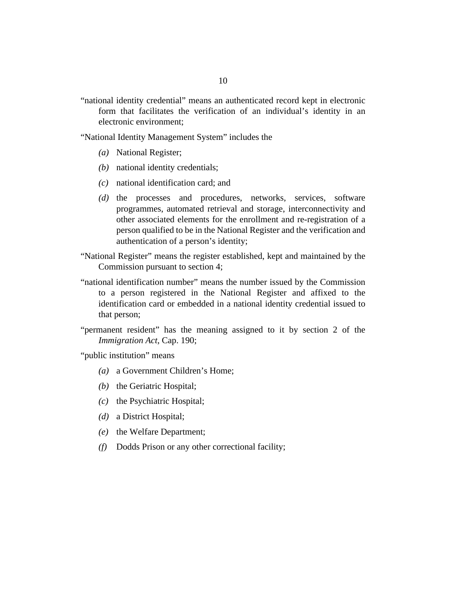"national identity credential" means an authenticated record kept in electronic form that facilitates the verification of an individual's identity in an electronic environment;

"National Identity Management System" includes the

- National Register; *(a)*
- national identity credentials; *(b)*
- national identification card; and *(c)*
- (d) the processes and procedures, networks, services, software programmes, automated retrieval and storage, interconnectivity and other associated elements for the enrollment and re-registration of a person qualified to be in the National Register and the verification and authentication of a person's identity;
- "National Register" means the register established, kept and maintained by the Commission pursuant to section 4;
- "national identification number" means the number issued by the Commission to a person registered in the National Register and affixed to the identification card or embedded in a national identity credential issued to that person;
- "permanent resident" has the meaning assigned to it by section 2 of the *[Immigration Act](http://barbadosparliament-laws.com/en/showdoc/cs/190)*, Cap. 190;

"public institution" means

- a Government Children's Home; *(a)*
- (b) the Geriatric Hospital;
- (c) the Psychiatric Hospital;
- a District Hospital; *(d)*
- (e) the Welfare Department;
- Dodds Prison or any other correctional facility; *(f)*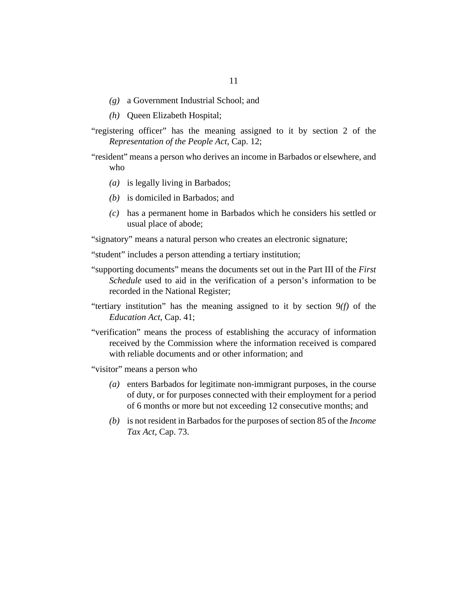- a Government Industrial School; and *(g)*
- Queen Elizabeth Hospital; *(h)*
- "registering officer" has the meaning assigned to it by section 2 of the *[Representation of the People Act](http://barbadosparliament-laws.com/en/showdoc/cs/12)*, Cap. 12;
- "resident" means a person who derives an income in Barbados or elsewhere, and who
	- (a) is legally living in Barbados;
	- (b) is domiciled in Barbados; and
	- has a permanent home in Barbados which he considers his settled or *(c)* usual place of abode;

"signatory" means a natural person who creates an electronic signature;

"student" includes a person attending a tertiary institution;

- "supporting documents" means the documents set out in the Part III of the *First Schedule* used to aid in the verification of a person's information to be recorded in the National Register;
- "tertiary institution" has the meaning assigned to it by section 9*(f)* of the *[Education Act](http://barbadosparliament-laws.com/en/showdoc/cs/41)*, Cap. 41;
- "verification" means the process of establishing the accuracy of information received by the Commission where the information received is compared with reliable documents and or other information; and

"visitor" means a person who

- enters Barbados for legitimate non-immigrant purposes, in the course *(a)* of duty, or for purposes connected with their employment for a period of 6 months or more but not exceeding 12 consecutive months; and
- is not resident in Barbados for the purposes of section 85 of the *[Income](http://barbadosparliament-laws.com/en/showdoc/cs/73) (b) Tax Act*[, Cap. 73.](http://barbadosparliament-laws.com/en/showdoc/cs/73)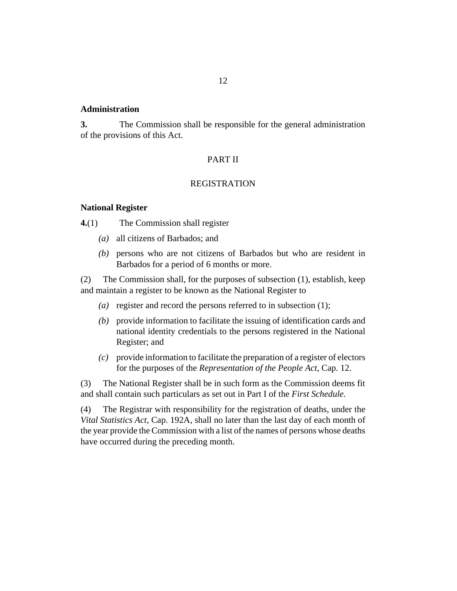### <span id="page-11-0"></span>**Administration**

The Commission shall be responsible for the general administration of the provisions of this Act. **3.**

### PART II

#### REGISTRATION

#### **National Register**

The Commission shall register **4.**(1)

- all citizens of Barbados; and *(a)*
- persons who are not citizens of Barbados but who are resident in *(b)* Barbados for a period of 6 months or more.

The Commission shall, for the purposes of subsection (1), establish, keep and maintain a register to be known as the National Register to (2)

- (a) register and record the persons referred to in subsection  $(1)$ ;
- provide information to facilitate the issuing of identification cards and *(b)* national identity credentials to the persons registered in the National Register; and
- provide information to facilitate the preparation of a register of electors *(c)* for the purposes of the *[Representation of the People Act](http://barbadosparliament-laws.com/en/showdoc/cs/12)*, Cap. 12.

The National Register shall be in such form as the Commission deems fit and shall contain such particulars as set out in Part I of the *First Schedule.* (3)

The Registrar with responsibility for the registration of deaths, under the *[Vital Statistics Act](http://barbadosparliament-laws.com/en/showdoc/cs/192A)*, Cap. 192A, shall no later than the last day of each month of the year provide the Commission with a list of the names of persons whose deaths have occurred during the preceding month. (4)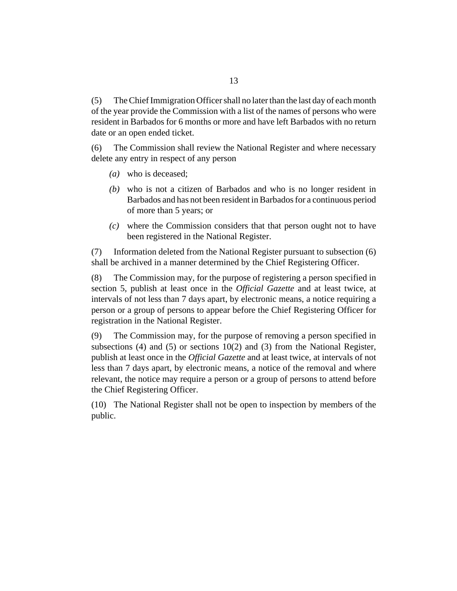The Chief Immigration Officer shall no later than the last day of each month of the year provide the Commission with a list of the names of persons who were resident in Barbados for 6 months or more and have left Barbados with no return date or an open ended ticket. (5)

The Commission shall review the National Register and where necessary delete any entry in respect of any person (6)

- who is deceased; *(a)*
- who is not a citizen of Barbados and who is no longer resident in *(b)* Barbados and has not been resident in Barbados for a continuous period of more than 5 years; or
- where the Commission considers that that person ought not to have *(c)* been registered in the National Register.

Information deleted from the National Register pursuant to subsection (6) shall be archived in a manner determined by the Chief Registering Officer. (7)

The Commission may, for the purpose of registering a person specified in section 5, publish at least once in the *Official Gazette* and at least twice, at intervals of not less than 7 days apart, by electronic means, a notice requiring a person or a group of persons to appear before the Chief Registering Officer for registration in the National Register. (8)

The Commission may, for the purpose of removing a person specified in subsections (4) and (5) or sections 10(2) and (3) from the National Register, publish at least once in the *Official Gazette* and at least twice, at intervals of not less than 7 days apart, by electronic means, a notice of the removal and where relevant, the notice may require a person or a group of persons to attend before the Chief Registering Officer. (9)

(10) The National Register shall not be open to inspection by members of the public.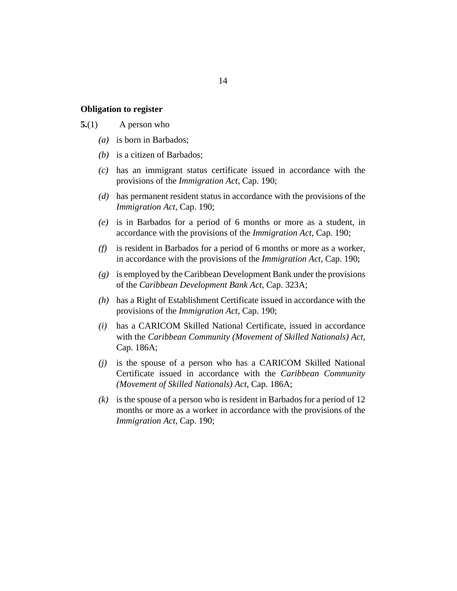#### <span id="page-13-0"></span>**Obligation to register**

#### A person who **5.**(1)

- is born in Barbados; *(a)*
- (b) is a citizen of Barbados;
- has an immigrant status certificate issued in accordance with the *(c)* provisions of the *[Immigration Act](http://barbadosparliament-laws.com/en/showdoc/cs/190)*, Cap. 190;
- (d) has permanent resident status in accordance with the provisions of the *[Immigration Act](http://barbadosparliament-laws.com/en/showdoc/cs/190)*, Cap. 190;
- is in Barbados for a period of 6 months or more as a student, in *(e)* accordance with the provisions of the *[Immigration Act](http://barbadosparliament-laws.com/en/showdoc/cs/190)*, Cap. 190;
- is resident in Barbados for a period of 6 months or more as a worker, *(f)* in accordance with the provisions of the *[Immigration Act](http://barbadosparliament-laws.com/en/showdoc/cs/190)*, Cap. 190;
- is employed by the Caribbean Development Bank under the provisions *(g)* of the *[Caribbean Development Bank Act](http://barbadosparliament-laws.com/en/showdoc/cs/323A)*, Cap. 323A;
- (h) has a Right of Establishment Certificate issued in accordance with the provisions of the *[Immigration Act](http://barbadosparliament-laws.com/en/showdoc/cs/190)*, Cap. 190;
- has a CARICOM Skilled National Certificate, issued in accordance *(i)* with the *[Caribbean Community \(Movement of Skilled Nationals\) Act](http://barbadosparliament-laws.com/en/showdoc/cs/186A)*, [Cap. 186A;](http://barbadosparliament-laws.com/en/showdoc/cs/186A)
- (j) is the spouse of a person who has a CARICOM Skilled National Certificate issued in accordance with the *[Caribbean Community](http://barbadosparliament-laws.com/en/showdoc/cs/186A) [\(Movement of Skilled Nationals\) Act](http://barbadosparliament-laws.com/en/showdoc/cs/186A)*, Cap. 186A;
- $(k)$  is the spouse of a person who is resident in Barbados for a period of 12 months or more as a worker in accordance with the provisions of the *[Immigration Act](http://barbadosparliament-laws.com/en/showdoc/cs/190)*, Cap. 190;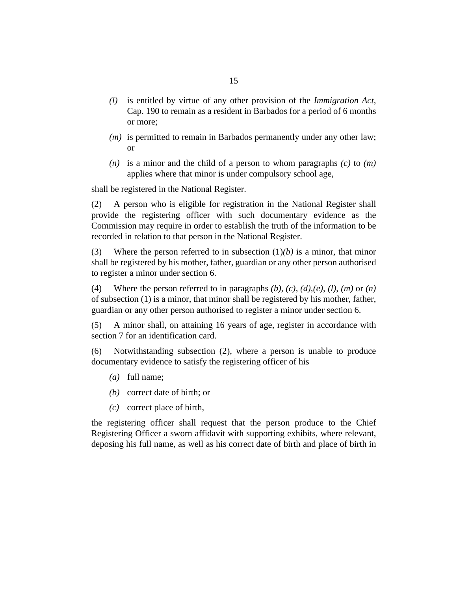- is entitled by virtue of any other provision of the *[Immigration Act](http://barbadosparliament-laws.com/en/showdoc/cs/190)*, *(l)* [Cap. 190](http://barbadosparliament-laws.com/en/showdoc/cs/190) to remain as a resident in Barbados for a period of 6 months or more;
- $(m)$  is permitted to remain in Barbados permanently under any other law; or
- $(n)$  is a minor and the child of a person to whom paragraphs  $(c)$  to  $(m)$ applies where that minor is under compulsory school age,

shall be registered in the National Register.

A person who is eligible for registration in the National Register shall provide the registering officer with such documentary evidence as the Commission may require in order to establish the truth of the information to be recorded in relation to that person in the National Register. (2)

Where the person referred to in subsection  $(1)(b)$  is a minor, that minor shall be registered by his mother, father, guardian or any other person authorised to register a minor under section 6. (3)

Where the person referred to in paragraphs *(b), (c)*, *(d),(e)*, *(l)*, *(m)* or *(n)* of subsection (1) is a minor, that minor shall be registered by his mother, father, guardian or any other person authorised to register a minor under section 6. (4)

A minor shall, on attaining 16 years of age, register in accordance with section 7 for an identification card. (5)

Notwithstanding subsection (2), where a person is unable to produce documentary evidence to satisfy the registering officer of his (6)

- full name; *(a)*
- (b) correct date of birth; or
- correct place of birth, *(c)*

the registering officer shall request that the person produce to the Chief Registering Officer a sworn affidavit with supporting exhibits, where relevant, deposing his full name, as well as his correct date of birth and place of birth in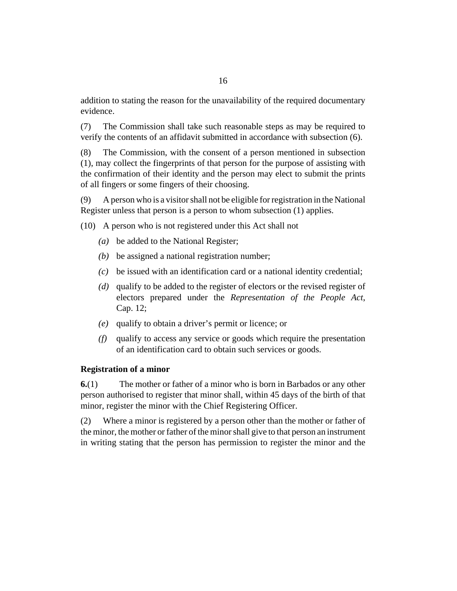<span id="page-15-0"></span>addition to stating the reason for the unavailability of the required documentary evidence.

The Commission shall take such reasonable steps as may be required to verify the contents of an affidavit submitted in accordance with subsection (6). (7)

The Commission, with the consent of a person mentioned in subsection (1), may collect the fingerprints of that person for the purpose of assisting with the confirmation of their identity and the person may elect to submit the prints of all fingers or some fingers of their choosing. (8)

A person who is a visitor shall not be eligible for registration in the National Register unless that person is a person to whom subsection (1) applies. (9)

A person who is not registered under this Act shall not (10)

- be added to the National Register; *(a)*
- $(b)$  be assigned a national registration number;
- be issued with an identification card or a national identity credential; *(c)*
- qualify to be added to the register of electors or the revised register of *(d)* electors prepared under the *[Representation of the People Act](http://barbadosparliament-laws.com/en/showdoc/cs/12)*, [Cap. 12](http://barbadosparliament-laws.com/en/showdoc/cs/12);
- qualify to obtain a driver's permit or licence; or *(e)*
- qualify to access any service or goods which require the presentation *(f)* of an identification card to obtain such services or goods.

# **Registration of a minor**

The mother or father of a minor who is born in Barbados or any other person authorised to register that minor shall, within 45 days of the birth of that minor, register the minor with the Chief Registering Officer. **6.**(1)

Where a minor is registered by a person other than the mother or father of the minor, the mother or father of the minor shall give to that person an instrument in writing stating that the person has permission to register the minor and the (2)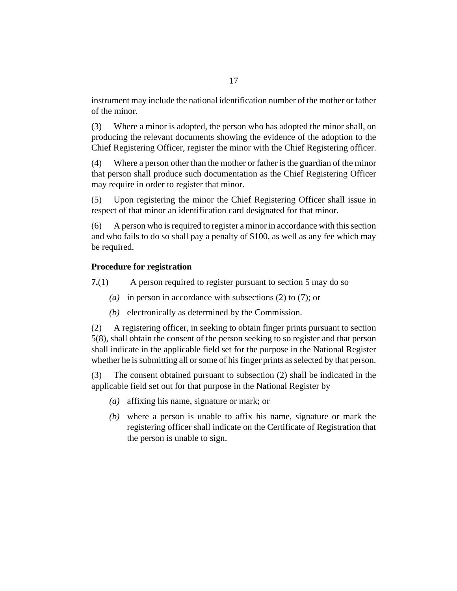<span id="page-16-0"></span>instrument may include the national identification number of the mother or father of the minor.

Where a minor is adopted, the person who has adopted the minor shall, on producing the relevant documents showing the evidence of the adoption to the Chief Registering Officer, register the minor with the Chief Registering officer. (3)

Where a person other than the mother or father is the guardian of the minor that person shall produce such documentation as the Chief Registering Officer may require in order to register that minor. (4)

Upon registering the minor the Chief Registering Officer shall issue in respect of that minor an identification card designated for that minor. (5)

A person who is required to register a minor in accordance with this section and who fails to do so shall pay a penalty of \$100, as well as any fee which may be required. (6)

# **Procedure for registration**

A person required to register pursuant to section 5 may do so **7.**(1)

- (a) in person in accordance with subsections (2) to (7); or
- $(b)$  electronically as determined by the Commission.

A registering officer, in seeking to obtain finger prints pursuant to section 5(8), shall obtain the consent of the person seeking to so register and that person shall indicate in the applicable field set for the purpose in the National Register whether he is submitting all or some of his finger prints as selected by that person. (2)

The consent obtained pursuant to subsection (2) shall be indicated in the applicable field set out for that purpose in the National Register by (3)

- affixing his name, signature or mark; or *(a)*
- where a person is unable to affix his name, signature or mark the *(b)* registering officer shall indicate on the Certificate of Registration that the person is unable to sign.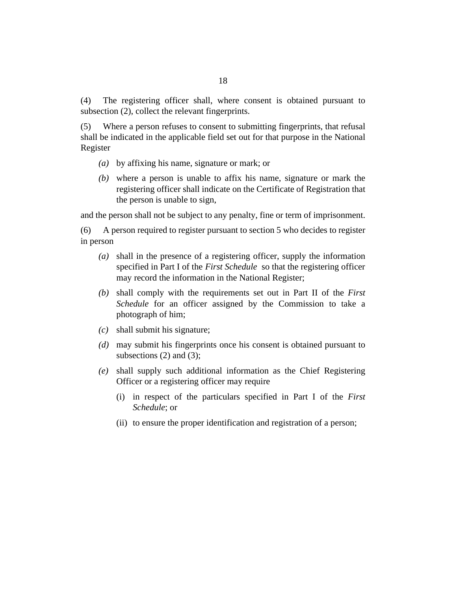The registering officer shall, where consent is obtained pursuant to subsection (2), collect the relevant fingerprints. (4)

Where a person refuses to consent to submitting fingerprints, that refusal shall be indicated in the applicable field set out for that purpose in the National Register (5)

- by affixing his name, signature or mark; or *(a)*
- where a person is unable to affix his name, signature or mark the *(b)* registering officer shall indicate on the Certificate of Registration that the person is unable to sign,

and the person shall not be subject to any penalty, fine or term of imprisonment.

A person required to register pursuant to section 5 who decides to register in person (6)

- shall in the presence of a registering officer, supply the information *(a)* specified in Part I of the *First Schedule* so that the registering officer may record the information in the National Register;
- shall comply with the requirements set out in Part II of the *First (b) Schedule* for an officer assigned by the Commission to take a photograph of him;
- shall submit his signature; *(c)*
- may submit his fingerprints once his consent is obtained pursuant to *(d)* subsections  $(2)$  and  $(3)$ ;
- shall supply such additional information as the Chief Registering *(e)* Officer or a registering officer may require
	- in respect of the particulars specified in Part I of the *First* (i) *Schedule*; or
	- (ii) to ensure the proper identification and registration of a person;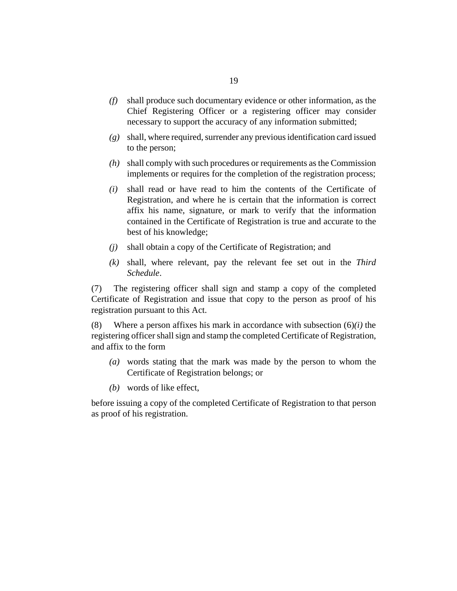- shall produce such documentary evidence or other information, as the *(f)* Chief Registering Officer or a registering officer may consider necessary to support the accuracy of any information submitted;
- shall, where required, surrender any previous identification card issued *(g)* to the person;
- shall comply with such procedures or requirements as the Commission *(h)* implements or requires for the completion of the registration process;
- shall read or have read to him the contents of the Certificate of *(i)* Registration, and where he is certain that the information is correct affix his name, signature, or mark to verify that the information contained in the Certificate of Registration is true and accurate to the best of his knowledge;
- shall obtain a copy of the Certificate of Registration; and *(j)*
- shall, where relevant, pay the relevant fee set out in the *Third (k) Schedule*.

The registering officer shall sign and stamp a copy of the completed Certificate of Registration and issue that copy to the person as proof of his registration pursuant to this Act. (7)

Where a person affixes his mark in accordance with subsection (6)*(i)* the registering officer shall sign and stamp the completed Certificate of Registration, and affix to the form (8)

- words stating that the mark was made by the person to whom the *(a)* Certificate of Registration belongs; or
- words of like effect, *(b)*

before issuing a copy of the completed Certificate of Registration to that person as proof of his registration.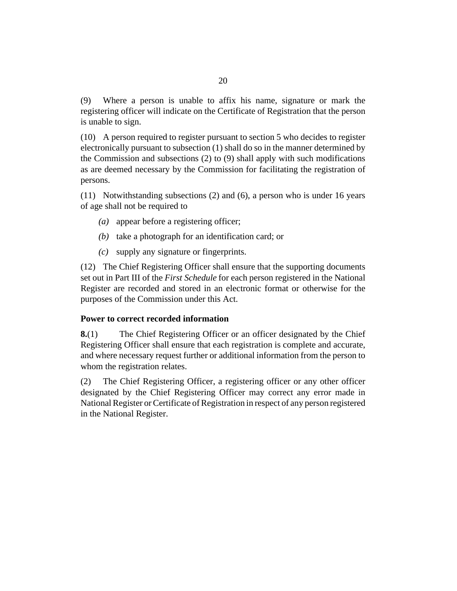<span id="page-19-0"></span>Where a person is unable to affix his name, signature or mark the registering officer will indicate on the Certificate of Registration that the person is unable to sign. (9)

A person required to register pursuant to section 5 who decides to register (10) electronically pursuant to subsection (1) shall do so in the manner determined by the Commission and subsections (2) to (9) shall apply with such modifications as are deemed necessary by the Commission for facilitating the registration of persons.

(11) Notwithstanding subsections (2) and (6), a person who is under 16 years of age shall not be required to

- (a) appear before a registering officer;
- $(b)$  take a photograph for an identification card; or
- supply any signature or fingerprints. *(c)*

The Chief Registering Officer shall ensure that the supporting documents (12) set out in Part III of the *First Schedule* for each person registered in the National Register are recorded and stored in an electronic format or otherwise for the purposes of the Commission under this Act.

## **Power to correct recorded information**

The Chief Registering Officer or an officer designated by the Chief Registering Officer shall ensure that each registration is complete and accurate, and where necessary request further or additional information from the person to whom the registration relates. **8.**(1)

The Chief Registering Officer, a registering officer or any other officer designated by the Chief Registering Officer may correct any error made in National Register or Certificate of Registration in respect of any person registered in the National Register. (2)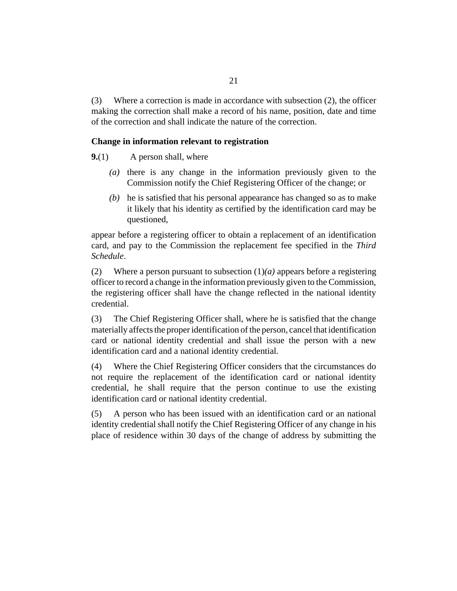<span id="page-20-0"></span>Where a correction is made in accordance with subsection (2), the officer making the correction shall make a record of his name, position, date and time of the correction and shall indicate the nature of the correction. (3)

# **Change in information relevant to registration**

A person shall, where **9.**(1)

- $(a)$  there is any change in the information previously given to the Commission notify the Chief Registering Officer of the change; or
- $(b)$  he is satisfied that his personal appearance has changed so as to make it likely that his identity as certified by the identification card may be questioned,

appear before a registering officer to obtain a replacement of an identification card, and pay to the Commission the replacement fee specified in the *Third Schedule*.

Where a person pursuant to subsection (1)*(a)* appears before a registering officer to record a change in the information previously given to the Commission, the registering officer shall have the change reflected in the national identity credential. (2)

The Chief Registering Officer shall, where he is satisfied that the change materially affects the proper identification of the person, cancel that identification card or national identity credential and shall issue the person with a new identification card and a national identity credential. (3)

Where the Chief Registering Officer considers that the circumstances do not require the replacement of the identification card or national identity credential, he shall require that the person continue to use the existing identification card or national identity credential. (4)

A person who has been issued with an identification card or an national identity credential shall notify the Chief Registering Officer of any change in his place of residence within 30 days of the change of address by submitting the (5)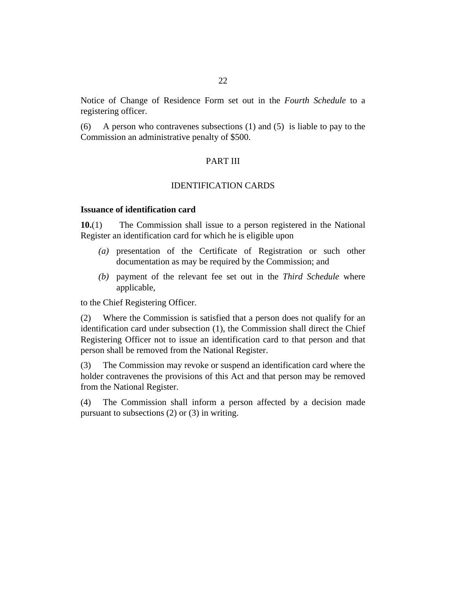<span id="page-21-0"></span>Notice of Change of Residence Form set out in the *Fourth Schedule* to a registering officer.

A person who contravenes subsections (1) and (5) is liable to pay to the Commission an administrative penalty of \$500. (6)

# PART III

### IDENTIFICATION CARDS

# **Issuance of identification card**

The Commission shall issue to a person registered in the National Register an identification card for which he is eligible upon **10.**(1)

- presentation of the Certificate of Registration or such other *(a)* documentation as may be required by the Commission; and
- (b) payment of the relevant fee set out in the *Third Schedule* where applicable,

to the Chief Registering Officer.

Where the Commission is satisfied that a person does not qualify for an identification card under subsection (1), the Commission shall direct the Chief Registering Officer not to issue an identification card to that person and that person shall be removed from the National Register. (2)

The Commission may revoke or suspend an identification card where the holder contravenes the provisions of this Act and that person may be removed from the National Register. (3)

The Commission shall inform a person affected by a decision made pursuant to subsections (2) or (3) in writing. (4)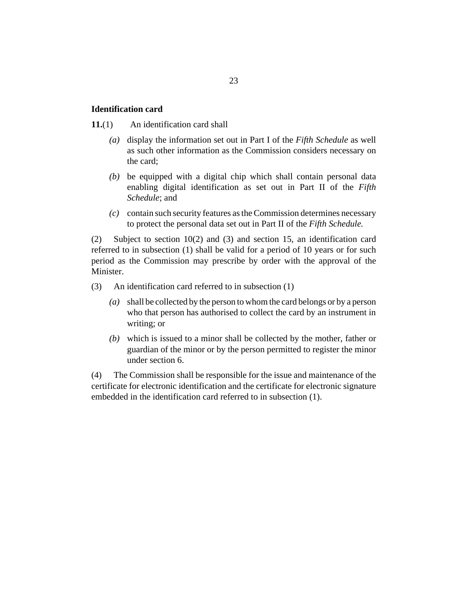# 23

#### <span id="page-22-0"></span>**Identification card**

#### An identification card shall **11.**(1)

- (a) display the information set out in Part I of the *Fifth Schedule* as well as such other information as the Commission considers necessary on the card;
- be equipped with a digital chip which shall contain personal data *(b)* enabling digital identification as set out in Part II of the *Fifth Schedule*; and
- contain such security features as the Commission determines necessary *(c)* to protect the personal data set out in Part II of the *Fifth Schedule.*

Subject to section 10(2) and (3) and section 15, an identification card referred to in subsection (1) shall be valid for a period of 10 years or for such period as the Commission may prescribe by order with the approval of the Minister. (2)

An identification card referred to in subsection (1) (3)

- shall be collected by the person to whom the card belongs or by a person *(a)* who that person has authorised to collect the card by an instrument in writing; or
- which is issued to a minor shall be collected by the mother, father or *(b)* guardian of the minor or by the person permitted to register the minor under section 6.

The Commission shall be responsible for the issue and maintenance of the certificate for electronic identification and the certificate for electronic signature embedded in the identification card referred to in subsection (1). (4)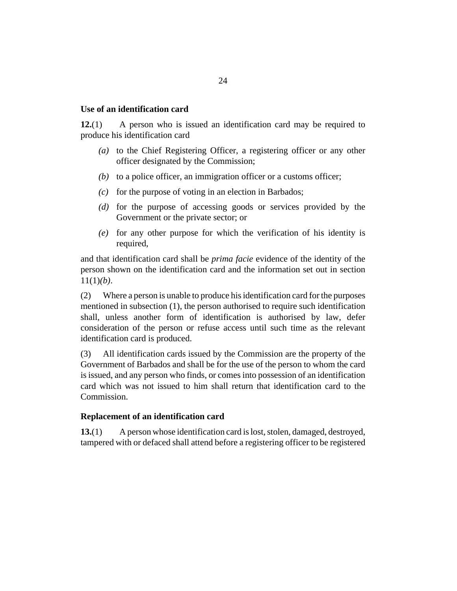### <span id="page-23-0"></span>**Use of an identification card**

A person who is issued an identification card may be required to produce his identification card **12.**(1)

- (a) to the Chief Registering Officer, a registering officer or any other officer designated by the Commission;
- $(b)$  to a police officer, an immigration officer or a customs officer;
- $\alpha$  for the purpose of voting in an election in Barbados;
- (d) for the purpose of accessing goods or services provided by the Government or the private sector; or
- for any other purpose for which the verification of his identity is *(e)* required,

and that identification card shall be *prima facie* evidence of the identity of the person shown on the identification card and the information set out in section 11(1)*(b)*.

Where a person is unable to produce his identification card for the purposes mentioned in subsection (1), the person authorised to require such identification shall, unless another form of identification is authorised by law, defer consideration of the person or refuse access until such time as the relevant identification card is produced. (2)

All identification cards issued by the Commission are the property of the Government of Barbados and shall be for the use of the person to whom the card is issued, and any person who finds, or comes into possession of an identification card which was not issued to him shall return that identification card to the Commission. (3)

### **Replacement of an identification card**

A person whose identification card is lost, stolen, damaged, destroyed, tampered with or defaced shall attend before a registering officer to be registered **13.**(1)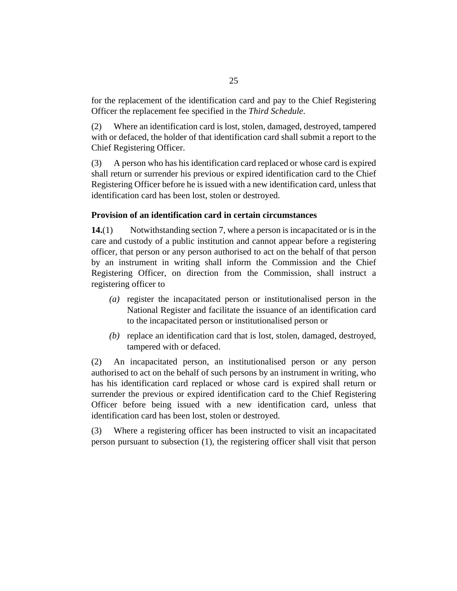<span id="page-24-0"></span>for the replacement of the identification card and pay to the Chief Registering Officer the replacement fee specified in the *Third Schedule*.

Where an identification card is lost, stolen, damaged, destroyed, tampered with or defaced, the holder of that identification card shall submit a report to the Chief Registering Officer. (2)

A person who has his identification card replaced or whose card is expired shall return or surrender his previous or expired identification card to the Chief Registering Officer before he is issued with a new identification card, unless that identification card has been lost, stolen or destroyed. (3)

# **Provision of an identification card in certain circumstances**

Notwithstanding section 7, where a person is incapacitated or is in the care and custody of a public institution and cannot appear before a registering officer, that person or any person authorised to act on the behalf of that person by an instrument in writing shall inform the Commission and the Chief Registering Officer, on direction from the Commission, shall instruct a registering officer to **14.**(1)

- (a) register the incapacitated person or institutionalised person in the National Register and facilitate the issuance of an identification card to the incapacitated person or institutionalised person or
- (b) replace an identification card that is lost, stolen, damaged, destroyed, tampered with or defaced.

An incapacitated person, an institutionalised person or any person authorised to act on the behalf of such persons by an instrument in writing, who has his identification card replaced or whose card is expired shall return or surrender the previous or expired identification card to the Chief Registering Officer before being issued with a new identification card, unless that identification card has been lost, stolen or destroyed. (2)

Where a registering officer has been instructed to visit an incapacitated person pursuant to subsection (1), the registering officer shall visit that person (3)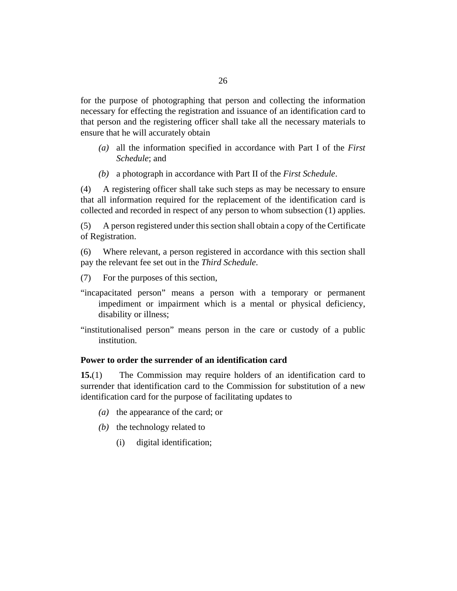<span id="page-25-0"></span>for the purpose of photographing that person and collecting the information necessary for effecting the registration and issuance of an identification card to that person and the registering officer shall take all the necessary materials to ensure that he will accurately obtain

- all the information specified in accordance with Part I of the *First (a) Schedule*; and
- a photograph in accordance with Part II of the *First Schedule*. *(b)*

A registering officer shall take such steps as may be necessary to ensure that all information required for the replacement of the identification card is collected and recorded in respect of any person to whom subsection (1) applies. (4)

A person registered under this section shall obtain a copy of the Certificate of Registration. (5)

Where relevant, a person registered in accordance with this section shall pay the relevant fee set out in the *Third Schedule*. (6)

For the purposes of this section, (7)

- "incapacitated person" means a person with a temporary or permanent impediment or impairment which is a mental or physical deficiency, disability or illness;
- "institutionalised person" means person in the care or custody of a public institution.

## **Power to order the surrender of an identification card**

The Commission may require holders of an identification card to surrender that identification card to the Commission for substitution of a new identification card for the purpose of facilitating updates to **15.**(1)

- (a) the appearance of the card; or
- $(b)$  the technology related to
	- digital identification; (i)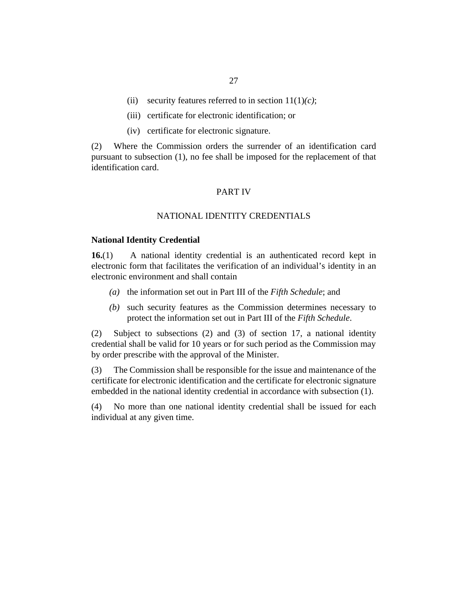- <span id="page-26-0"></span>(ii) security features referred to in section  $11(1)(c)$ ;
- (iii) certificate for electronic identification; or
- (iv) certificate for electronic signature.

Where the Commission orders the surrender of an identification card pursuant to subsection (1), no fee shall be imposed for the replacement of that identification card. (2)

### PART IV

### NATIONAL IDENTITY CREDENTIALS

#### **National Identity Credential**

A national identity credential is an authenticated record kept in electronic form that facilitates the verification of an individual's identity in an electronic environment and shall contain **16.**(1)

- (a) the information set out in Part III of the *Fifth Schedule*; and
- such security features as the Commission determines necessary to *(b)* protect the information set out in Part III of the *Fifth Schedule*.

Subject to subsections (2) and (3) of section 17, a national identity credential shall be valid for 10 years or for such period as the Commission may by order prescribe with the approval of the Minister. (2)

The Commission shall be responsible for the issue and maintenance of the certificate for electronic identification and the certificate for electronic signature embedded in the national identity credential in accordance with subsection (1). (3)

No more than one national identity credential shall be issued for each individual at any given time. (4)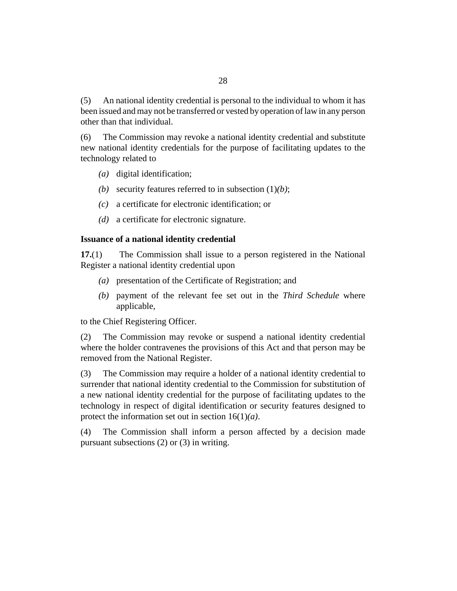<span id="page-27-0"></span>An national identity credential is personal to the individual to whom it has been issued and may not be transferred or vested by operation of law in any person other than that individual. (5)

The Commission may revoke a national identity credential and substitute new national identity credentials for the purpose of facilitating updates to the technology related to (6)

- (a) digital identification;
- (b) security features referred to in subsection  $(1)(b)$ ;
- a certificate for electronic identification; or *(c)*
- a certificate for electronic signature. *(d)*

### **Issuance of a national identity credential**

The Commission shall issue to a person registered in the National Register a national identity credential upon **17.**(1)

- presentation of the Certificate of Registration; and *(a)*
- (b) payment of the relevant fee set out in the *Third Schedule* where applicable,

to the Chief Registering Officer.

The Commission may revoke or suspend a national identity credential where the holder contravenes the provisions of this Act and that person may be removed from the National Register. (2)

The Commission may require a holder of a national identity credential to surrender that national identity credential to the Commission for substitution of a new national identity credential for the purpose of facilitating updates to the technology in respect of digital identification or security features designed to protect the information set out in section 16(1)*(a)*. (3)

The Commission shall inform a person affected by a decision made pursuant subsections (2) or (3) in writing. (4)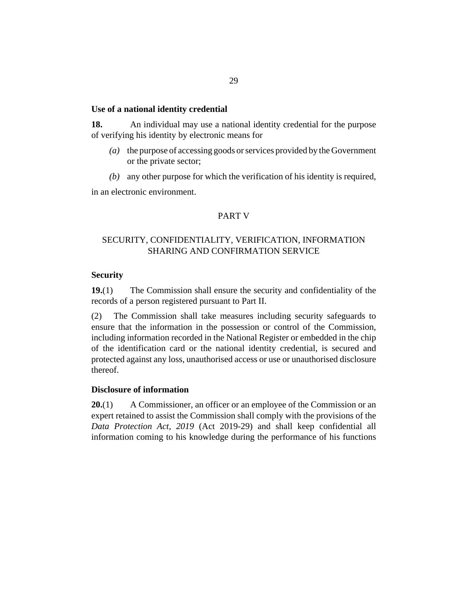## <span id="page-28-0"></span>**Use of a national identity credential**

An individual may use a national identity credential for the purpose of verifying his identity by electronic means for **18.**

- the purpose of accessing goods or services provided by the Government *(a)* or the private sector;
- any other purpose for which the verification of his identity is required, *(b)*

in an electronic environment.

# PART V

# SECURITY, CONFIDENTIALITY, VERIFICATION, INFORMATION SHARING AND CONFIRMATION SERVICE

# **Security**

The Commission shall ensure the security and confidentiality of the records of a person registered pursuant to Part II. **19.**(1)

The Commission shall take measures including security safeguards to ensure that the information in the possession or control of the Commission, including information recorded in the National Register or embedded in the chip of the identification card or the national identity credential, is secured and protected against any loss, unauthorised access or use or unauthorised disclosure thereof. (2)

## **Disclosure of information**

A Commissioner, an officer or an employee of the Commission or an expert retained to assist the Commission shall comply with the provisions of the *[Data Protection Act, 2019](http://barbadosparliament-laws.com/en/showdoc/cs/2019_29)* (Act 2019-29) and shall keep confidential all information coming to his knowledge during the performance of his functions **20.**(1)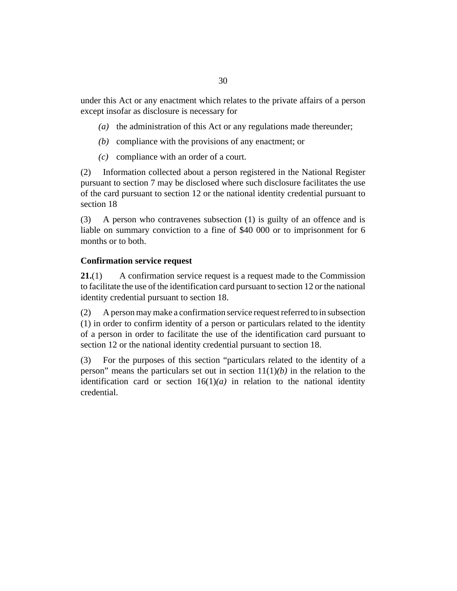<span id="page-29-0"></span>under this Act or any enactment which relates to the private affairs of a person except insofar as disclosure is necessary for

- (a) the administration of this Act or any regulations made thereunder;
- (b) compliance with the provisions of any enactment; or
- compliance with an order of a court. *(c)*

Information collected about a person registered in the National Register pursuant to section 7 may be disclosed where such disclosure facilitates the use of the card pursuant to section 12 or the national identity credential pursuant to section 18 (2)

A person who contravenes subsection (1) is guilty of an offence and is liable on summary conviction to a fine of \$40 000 or to imprisonment for 6 months or to both. (3)

# **Confirmation service request**

A confirmation service request is a request made to the Commission to facilitate the use of the identification card pursuant to section 12 or the national identity credential pursuant to section 18. **21.**(1)

A person may make a confirmation service request referred to in subsection (1) in order to confirm identity of a person or particulars related to the identity of a person in order to facilitate the use of the identification card pursuant to section 12 or the national identity credential pursuant to section 18. (2)

For the purposes of this section "particulars related to the identity of a person" means the particulars set out in section  $11(1)(b)$  in the relation to the identification card or section  $16(1)(a)$  in relation to the national identity credential. (3)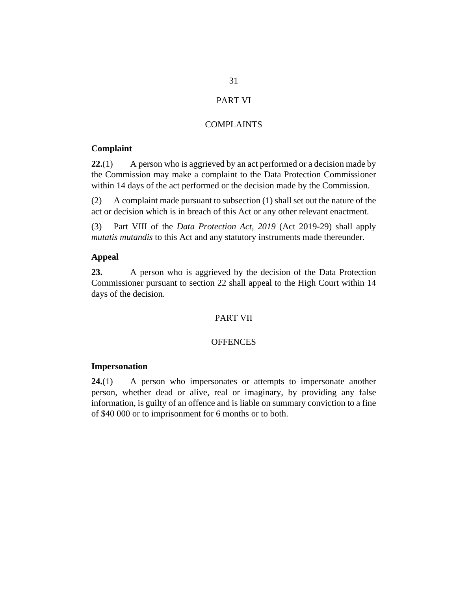# PART VI

# COMPLAINTS

# <span id="page-30-0"></span>**Complaint**

A person who is aggrieved by an act performed or a decision made by the Commission may make a complaint to the Data Protection Commissioner within 14 days of the act performed or the decision made by the Commission. **22.**(1)

A complaint made pursuant to subsection (1) shall set out the nature of the act or decision which is in breach of this Act or any other relevant enactment. (2)

Part VIII of the *[Data Protection Act, 2019](http://barbadosparliament-laws.com/en/showdoc/cs/2019_29)* (Act 2019-29) shall apply *mutatis mutandis* to this Act and any statutory instruments made thereunder. (3)

# **Appeal**

A person who is aggrieved by the decision of the Data Protection Commissioner pursuant to section 22 shall appeal to the High Court within 14 days of the decision. **23.**

# PART VII

# **OFFENCES**

## **Impersonation**

A person who impersonates or attempts to impersonate another person, whether dead or alive, real or imaginary, by providing any false information, is guilty of an offence and is liable on summary conviction to a fine of \$40 000 or to imprisonment for 6 months or to both. **24.**(1)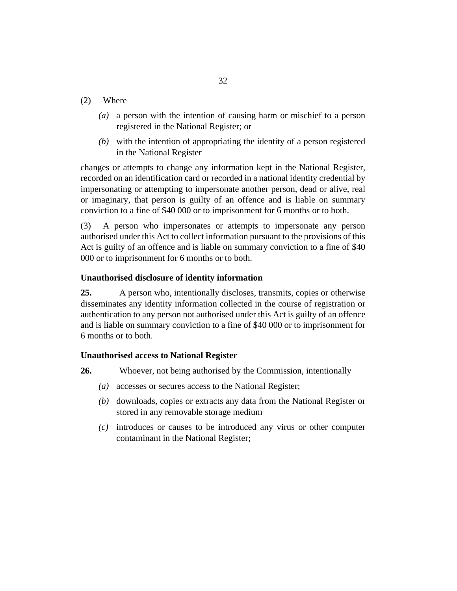- <span id="page-31-0"></span>Where (2)
	- a person with the intention of causing harm or mischief to a person *(a)* registered in the National Register; or
	- with the intention of appropriating the identity of a person registered *(b)* in the National Register

changes or attempts to change any information kept in the National Register, recorded on an identification card or recorded in a national identity credential by impersonating or attempting to impersonate another person, dead or alive, real or imaginary, that person is guilty of an offence and is liable on summary conviction to a fine of \$40 000 or to imprisonment for 6 months or to both.

A person who impersonates or attempts to impersonate any person authorised under this Act to collect information pursuant to the provisions of this Act is guilty of an offence and is liable on summary conviction to a fine of \$40 000 or to imprisonment for 6 months or to both. (3)

# **Unauthorised disclosure of identity information**

A person who, intentionally discloses, transmits, copies or otherwise disseminates any identity information collected in the course of registration or authentication to any person not authorised under this Act is guilty of an offence and is liable on summary conviction to a fine of \$40 000 or to imprisonment for 6 months or to both. **25.**

## **Unauthorised access to National Register**

- Whoever, not being authorised by the Commission, intentionally **26.**
	- (a) accesses or secures access to the National Register;
	- (b) downloads, copies or extracts any data from the National Register or stored in any removable storage medium
	- introduces or causes to be introduced any virus or other computer *(c)* contaminant in the National Register;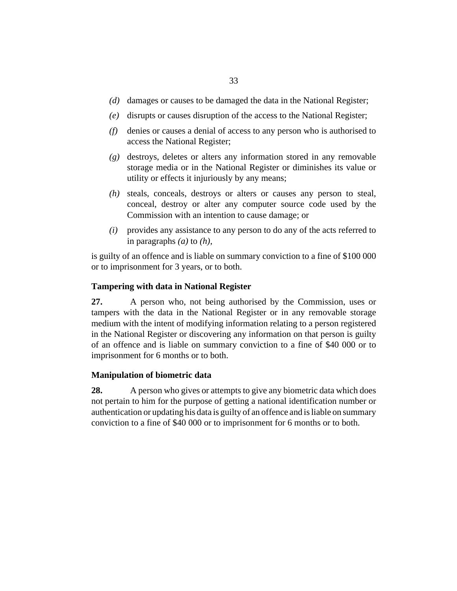- <span id="page-32-0"></span>(d) damages or causes to be damaged the data in the National Register;
- disrupts or causes disruption of the access to the National Register; *(e)*
- denies or causes a denial of access to any person who is authorised to *(f)* access the National Register;
- destroys, deletes or alters any information stored in any removable *(g)* storage media or in the National Register or diminishes its value or utility or effects it injuriously by any means;
- steals, conceals, destroys or alters or causes any person to steal, *(h)* conceal, destroy or alter any computer source code used by the Commission with an intention to cause damage; or
- provides any assistance to any person to do any of the acts referred to *(i)* in paragraphs *(a)* to *(h)*,

is guilty of an offence and is liable on summary conviction to a fine of \$100 000 or to imprisonment for 3 years, or to both.

# **Tampering with data in National Register**

A person who, not being authorised by the Commission, uses or tampers with the data in the National Register or in any removable storage medium with the intent of modifying information relating to a person registered in the National Register or discovering any information on that person is guilty of an offence and is liable on summary conviction to a fine of \$40 000 or to imprisonment for 6 months or to both. **27.**

## **Manipulation of biometric data**

A person who gives or attempts to give any biometric data which does not pertain to him for the purpose of getting a national identification number or authentication or updating his data is guilty of an offence and is liable on summary conviction to a fine of \$40 000 or to imprisonment for 6 months or to both. **28.**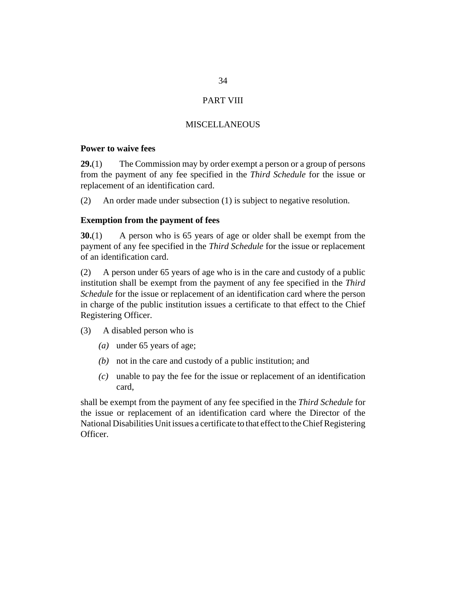# PART VIII

# **MISCELLANEOUS**

# <span id="page-33-0"></span>**Power to waive fees**

The Commission may by order exempt a person or a group of persons from the payment of any fee specified in the *Third Schedule* for the issue or replacement of an identification card. **29.**(1)

An order made under subsection (1) is subject to negative resolution. (2)

# **Exemption from the payment of fees**

A person who is 65 years of age or older shall be exempt from the payment of any fee specified in the *Third Schedule* for the issue or replacement of an identification card. **30.**(1)

A person under 65 years of age who is in the care and custody of a public institution shall be exempt from the payment of any fee specified in the *Third Schedule* for the issue or replacement of an identification card where the person in charge of the public institution issues a certificate to that effect to the Chief Registering Officer. (2)

- A disabled person who is (3)
	- under 65 years of age; *(a)*
	- not in the care and custody of a public institution; and *(b)*
	- unable to pay the fee for the issue or replacement of an identification *(c)* card,

shall be exempt from the payment of any fee specified in the *Third Schedule* for the issue or replacement of an identification card where the Director of the National Disabilities Unit issues a certificate to that effect to the Chief Registering Officer.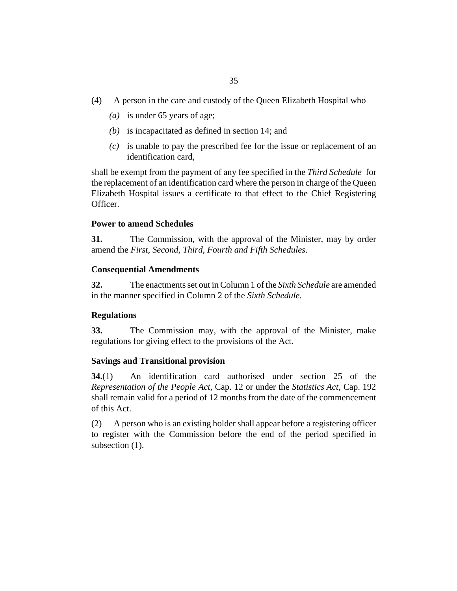- <span id="page-34-0"></span>A person in the care and custody of the Queen Elizabeth Hospital who (4)
	- is under 65 years of age; *(a)*
	- $(b)$  is incapacitated as defined in section 14; and
	- is unable to pay the prescribed fee for the issue or replacement of an *(c)* identification card,

shall be exempt from the payment of any fee specified in the *Third Schedule* for the replacement of an identification card where the person in charge of the Queen Elizabeth Hospital issues a certificate to that effect to the Chief Registering Officer.

### **Power to amend Schedules**

The Commission, with the approval of the Minister, may by order amend the *First, Second, Third, Fourth and Fifth Schedules*. **31.**

### **Consequential Amendments**

The enactments set out in Column 1 of the *Sixth Schedule* are amended in the manner specified in Column 2 of the *Sixth Schedule.* **32.**

# **Regulations**

The Commission may, with the approval of the Minister, make regulations for giving effect to the provisions of the Act. **33.**

# **Savings and Transitional provision**

An identification card authorised under section 25 of the *[Representation of the People Act](http://barbadosparliament-laws.com/en/showdoc/cs/12)*, Cap. 12 or under the *[Statistics Act](http://barbadosparliament-laws.com/en/showdoc/cs/192)*, Cap. 192 shall remain valid for a period of 12 months from the date of the commencement of this Act. **34.**(1)

A person who is an existing holder shall appear before a registering officer to register with the Commission before the end of the period specified in subsection  $(1)$ . (2)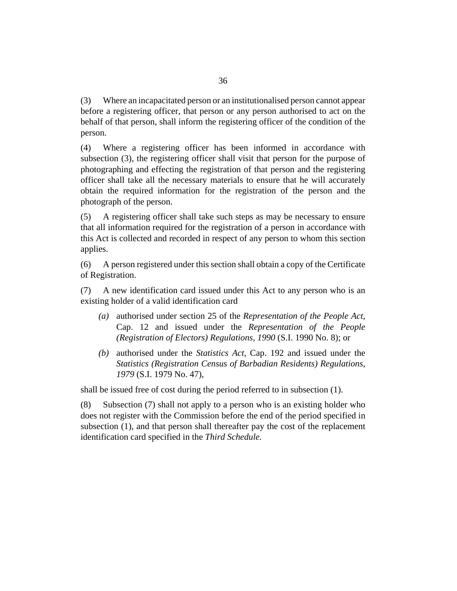Where an incapacitated person or an institutionalised person cannot appear before a registering officer, that person or any person authorised to act on the behalf of that person, shall inform the registering officer of the condition of the person. (3)

Where a registering officer has been informed in accordance with subsection (3), the registering officer shall visit that person for the purpose of photographing and effecting the registration of that person and the registering officer shall take all the necessary materials to ensure that he will accurately obtain the required information for the registration of the person and the photograph of the person. (4)

A registering officer shall take such steps as may be necessary to ensure that all information required for the registration of a person in accordance with this Act is collected and recorded in respect of any person to whom this section applies. (5)

A person registered under this section shall obtain a copy of the Certificate of Registration. (6)

A new identification card issued under this Act to any person who is an existing holder of a valid identification card (7)

- authorised under section 25 of the *[Representation of the People Act](http://barbadosparliament-laws.com/en/showdoc/cs/12)*, *(a)* [Cap. 12](http://barbadosparliament-laws.com/en/showdoc/cs/12) and issued under the *[Representation of the People](http://barbadosparliament-laws.com/en/showdoc/cr/1990/8) [\(Registration of Electors\) Regulations, 1990](http://barbadosparliament-laws.com/en/showdoc/cr/1990/8)* (S.I. 1990 No. 8); or
- authorised under the *[Statistics Act](http://barbadosparliament-laws.com/en/showdoc/cs/192)*, Cap. 192 and issued under the *(b) [Statistics \(Registration Census of Barbadian Residents\) Regulations,](http://barbadosparliament-laws.com/en/showdoc/cr/1979/47) 1979* [\(S.I. 1979 No. 47\)](http://barbadosparliament-laws.com/en/showdoc/cr/1979/47),

shall be issued free of cost during the period referred to in subsection (1).

Subsection (7) shall not apply to a person who is an existing holder who does not register with the Commission before the end of the period specified in subsection (1), and that person shall thereafter pay the cost of the replacement identification card specified in the *Third Schedule.* (8)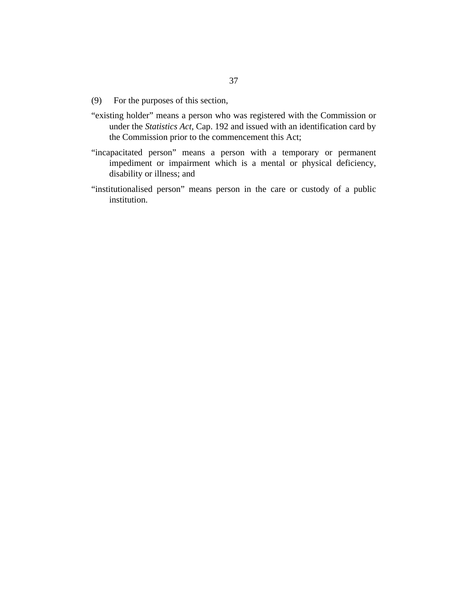- For the purposes of this section, (9)
- "existing holder" means a person who was registered with the Commission or under the *[Statistics Act](http://barbadosparliament-laws.com/en/showdoc/cs/192)*, Cap. 192 and issued with an identification card by the Commission prior to the commencement this Act;
- "incapacitated person" means a person with a temporary or permanent impediment or impairment which is a mental or physical deficiency, disability or illness; and
- "institutionalised person" means person in the care or custody of a public institution.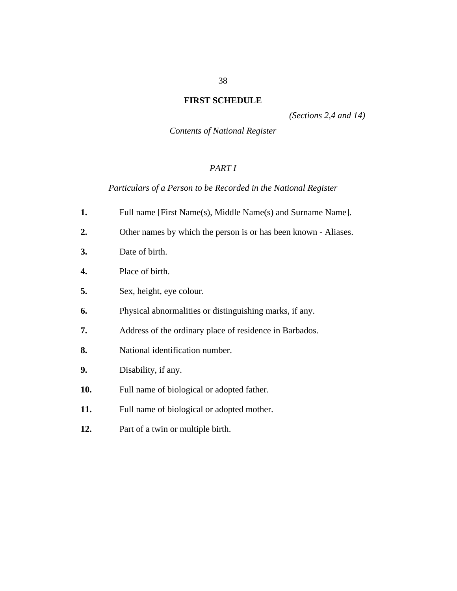# <span id="page-37-0"></span>**FIRST SCHEDULE**

*(Sections 2,4 and 14)*

*Contents of National Register*

# *PART I*

*Particulars of a Person to be Recorded in the National Register*

- Full name [First Name(s), Middle Name(s) and Surname Name]. **1.**
- Other names by which the person is or has been known Aliases. **2.**
- Date of birth. **3.**
- Place of birth. **4.**
- Sex, height, eye colour. **5.**
- Physical abnormalities or distinguishing marks, if any. **6.**
- Address of the ordinary place of residence in Barbados. **7.**
- National identification number. **8.**
- Disability, if any. **9.**
- Full name of biological or adopted father. **10.**
- Full name of biological or adopted mother. **11.**
- Part of a twin or multiple birth. **12.**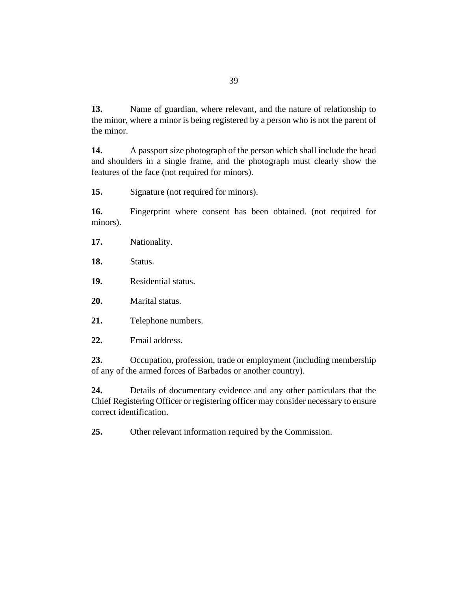Name of guardian, where relevant, and the nature of relationship to the minor, where a minor is being registered by a person who is not the parent of the minor. **13.**

A passport size photograph of the person which shall include the head and shoulders in a single frame, and the photograph must clearly show the features of the face (not required for minors). **14.**

Signature (not required for minors). **15.**

Fingerprint where consent has been obtained. (not required for minors). **16.**

- Nationality. **17.**
- Status. **18.**
- Residential status. **19.**
- Marital status. **20.**
- Telephone numbers. **21.**
- Email address. **22.**

Occupation, profession, trade or employment (including membership of any of the armed forces of Barbados or another country). **23.**

Details of documentary evidence and any other particulars that the Chief Registering Officer or registering officer may consider necessary to ensure correct identification. **24.**

Other relevant information required by the Commission. **25.**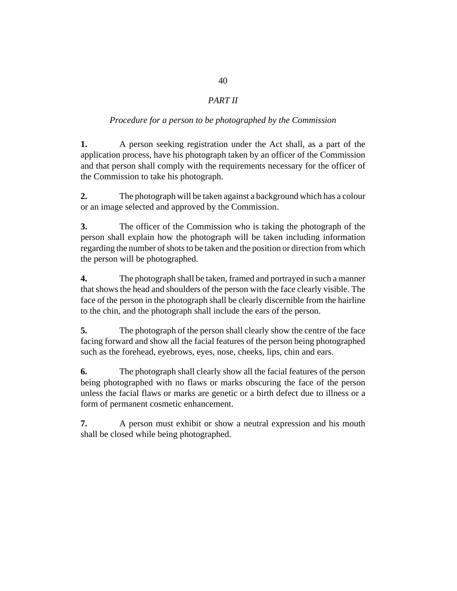# *PART II*

# *Procedure for a person to be photographed by the Commission*

A person seeking registration under the Act shall, as a part of the application process, have his photograph taken by an officer of the Commission and that person shall comply with the requirements necessary for the officer of the Commission to take his photograph. **1.**

The photograph will be taken against a background which has a colour or an image selected and approved by the Commission. **2.**

The officer of the Commission who is taking the photograph of the person shall explain how the photograph will be taken including information regarding the number of shots to be taken and the position or direction from which the person will be photographed. **3.**

The photograph shall be taken, framed and portrayed in such a manner that shows the head and shoulders of the person with the face clearly visible. The face of the person in the photograph shall be clearly discernible from the hairline to the chin, and the photograph shall include the ears of the person. **4.**

The photograph of the person shall clearly show the centre of the face facing forward and show all the facial features of the person being photographed such as the forehead, eyebrows, eyes, nose, cheeks, lips, chin and ears. **5.**

The photograph shall clearly show all the facial features of the person being photographed with no flaws or marks obscuring the face of the person unless the facial flaws or marks are genetic or a birth defect due to illness or a form of permanent cosmetic enhancement. **6.**

A person must exhibit or show a neutral expression and his mouth shall be closed while being photographed. **7.**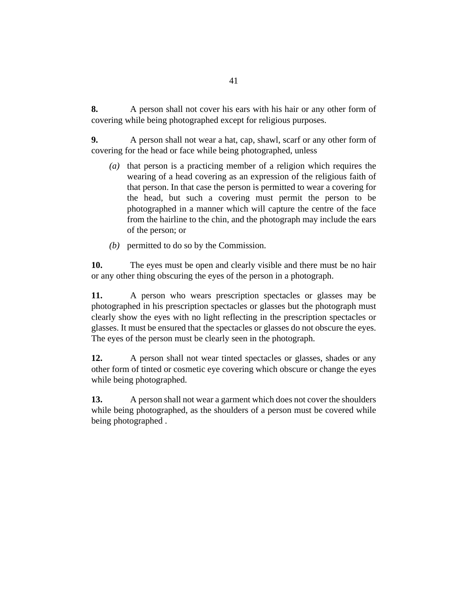A person shall not cover his ears with his hair or any other form of covering while being photographed except for religious purposes. **8.**

A person shall not wear a hat, cap, shawl, scarf or any other form of covering for the head or face while being photographed, unless **9.**

- (a) that person is a practicing member of a religion which requires the wearing of a head covering as an expression of the religious faith of that person. In that case the person is permitted to wear a covering for the head, but such a covering must permit the person to be photographed in a manner which will capture the centre of the face from the hairline to the chin, and the photograph may include the ears of the person; or
- permitted to do so by the Commission. *(b)*

The eyes must be open and clearly visible and there must be no hair or any other thing obscuring the eyes of the person in a photograph. **10.**

A person who wears prescription spectacles or glasses may be photographed in his prescription spectacles or glasses but the photograph must clearly show the eyes with no light reflecting in the prescription spectacles or glasses. It must be ensured that the spectacles or glasses do not obscure the eyes. The eyes of the person must be clearly seen in the photograph. **11.**

A person shall not wear tinted spectacles or glasses, shades or any other form of tinted or cosmetic eye covering which obscure or change the eyes while being photographed. **12.**

A person shall not wear a garment which does not cover the shoulders while being photographed, as the shoulders of a person must be covered while being photographed . **13.**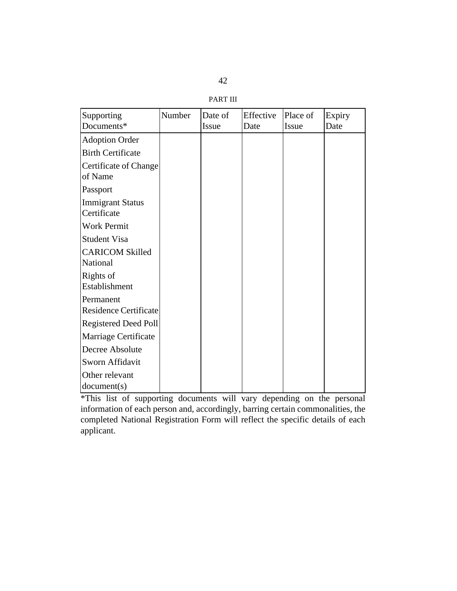| ī.<br>۰ |  |
|---------|--|
|         |  |

PART III

| Supporting                             | Number | Date of | Effective | Place of | Expiry |
|----------------------------------------|--------|---------|-----------|----------|--------|
| Documents*                             |        | Issue   | Date      | Issue    | Date   |
| <b>Adoption Order</b>                  |        |         |           |          |        |
| <b>Birth Certificate</b>               |        |         |           |          |        |
| Certificate of Change<br>of Name       |        |         |           |          |        |
| Passport                               |        |         |           |          |        |
| <b>Immigrant Status</b><br>Certificate |        |         |           |          |        |
| <b>Work Permit</b>                     |        |         |           |          |        |
| <b>Student Visa</b>                    |        |         |           |          |        |
| <b>CARICOM Skilled</b><br>National     |        |         |           |          |        |
| Rights of<br>Establishment             |        |         |           |          |        |
| Permanent<br>Residence Certificate     |        |         |           |          |        |
| <b>Registered Deed Poll</b>            |        |         |           |          |        |
| Marriage Certificate                   |        |         |           |          |        |
| Decree Absolute                        |        |         |           |          |        |
| Sworn Affidavit                        |        |         |           |          |        |
| Other relevant<br>document(s)          |        |         |           |          |        |

\*This list of supporting documents will vary depending on the personal information of each person and, accordingly, barring certain commonalities, the completed National Registration Form will reflect the specific details of each applicant.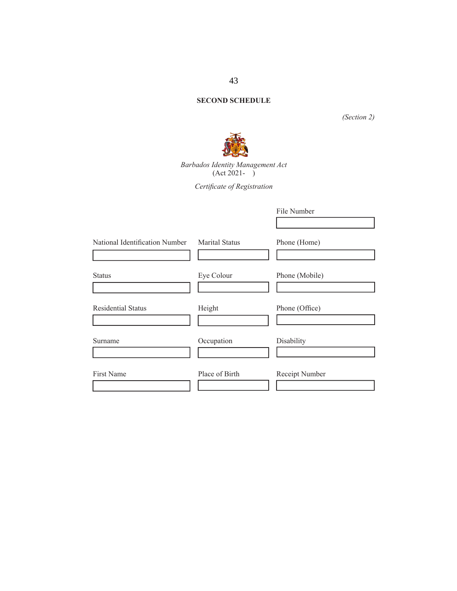# **SECOND SCHEDULE**

*(Section 2)*



*Barbados Identity Management Act* (Act 2021- )

*Certifi cate of Registration*

|                                |                       | File Number    |
|--------------------------------|-----------------------|----------------|
| National Identification Number | <b>Marital Status</b> | Phone (Home)   |
| <b>Status</b>                  | Eye Colour            | Phone (Mobile) |
| <b>Residential Status</b>      | Height                | Phone (Office) |
| Surname                        | Occupation            | Disability     |
| First Name                     | Place of Birth        | Receipt Number |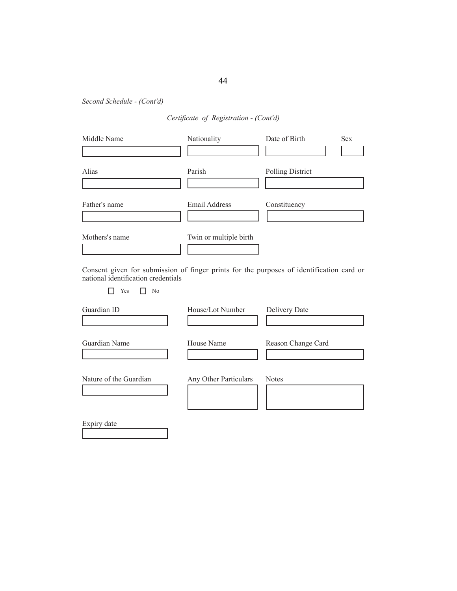*Second Schedule - (Cont'd)*

# *Certifi cate of Registration - (Cont'd)*

| Middle Name    | Nationality            | Date of Birth    | <b>Sex</b> |
|----------------|------------------------|------------------|------------|
| Alias          | Parish                 | Polling District |            |
| Father's name  | <b>Email Address</b>   | Constituency     |            |
| Mothers's name | Twin or multiple birth |                  |            |

Consent given for submission of finger prints for the purposes of identification card or national identification credentials

No Yes No

| Guardian ID            | House/Lot Number      | Delivery Date      |
|------------------------|-----------------------|--------------------|
| Guardian Name          | House Name            | Reason Change Card |
| Nature of the Guardian | Any Other Particulars | <b>Notes</b>       |
| Expiry date            |                       |                    |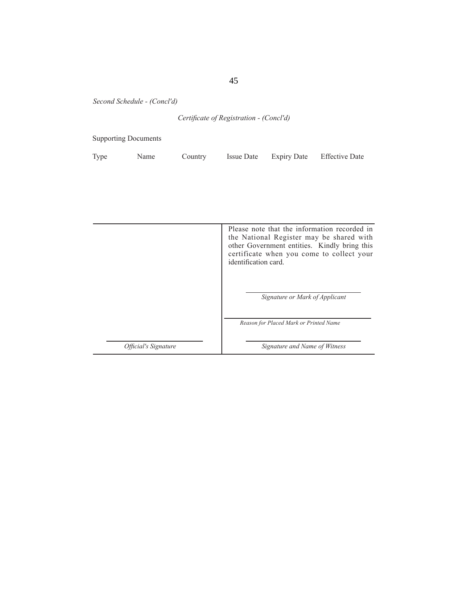*Second Schedule - (Concl'd)*

# *Certifi cate of Registration - (Concl'd)*

Supporting Documents

| Type | Name | Country | <b>Issue Date</b> | <b>Expiry Date</b> | <b>Effective Date</b> |
|------|------|---------|-------------------|--------------------|-----------------------|
|      |      |         |                   |                    |                       |

|                                    | Please note that the information recorded in<br>the National Register may be shared with<br>other Government entities. Kindly bring this<br>certificate when you come to collect your<br>identification card |
|------------------------------------|--------------------------------------------------------------------------------------------------------------------------------------------------------------------------------------------------------------|
|                                    | Signature or Mark of Applicant                                                                                                                                                                               |
|                                    | Reason for Placed Mark or Printed Name                                                                                                                                                                       |
| <i><b>Official's Signature</b></i> | Signature and Name of Witness                                                                                                                                                                                |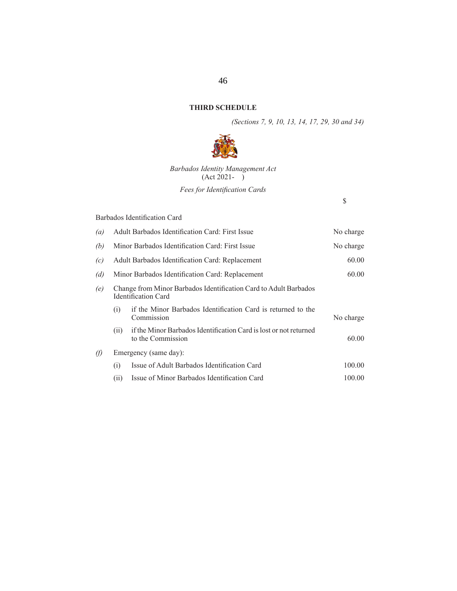# **THIRD SCHEDULE**

*(Sections 7, 9, 10, 13, 14, 17, 29, 30 and 34)*

 $\mathbb S$ 



*Barbados Identity Management Act* (Act 2021- )

*Fees for Identification Cards* 

### Barbados Identification Card

| (a)      | <b>Adult Barbados Identification Card: First Issue</b><br>No charge                            |                                                                                        |           |  |
|----------|------------------------------------------------------------------------------------------------|----------------------------------------------------------------------------------------|-----------|--|
| (b)      | Minor Barbados Identification Card: First Issue<br>No charge                                   |                                                                                        |           |  |
| (c)      | 60.00<br>Adult Barbados Identification Card: Replacement                                       |                                                                                        |           |  |
| (d)      | 60.00<br>Minor Barbados Identification Card: Replacement                                       |                                                                                        |           |  |
| (e)      | Change from Minor Barbados Identification Card to Adult Barbados<br><b>Identification Card</b> |                                                                                        |           |  |
|          | (i)                                                                                            | if the Minor Barbados Identification Card is returned to the<br>Commission             | No charge |  |
|          | (i)                                                                                            | if the Minor Barbados Identification Card is lost or not returned<br>to the Commission | 60.00     |  |
| $\theta$ |                                                                                                | Emergency (same day):                                                                  |           |  |
|          | (i)                                                                                            | Issue of Adult Barbados Identification Card                                            | 100.00    |  |
|          | (ii)                                                                                           | Issue of Minor Barbados Identification Card                                            | 100.00    |  |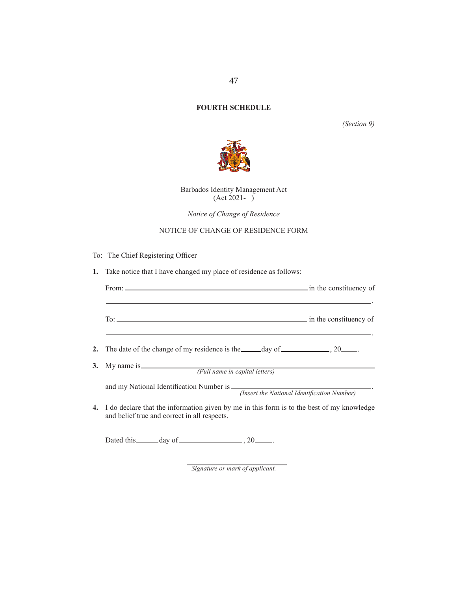# **FOURTH SCHEDULE**

*(Section 9)*



Barbados Identity Management Act  $(Act 2021 - )$ 

*Notice of Change of Residence*

# NOTICE OF CHANGE OF RESIDENCE FORM

- To: The Chief Registering Officer
- **1.** Take notice that I have changed my place of residence as follows:

| 2. The date of the change of my residence is the $\mu$ day of $\mu$ = $\mu$ , 20 $\mu$ .                                                     |
|----------------------------------------------------------------------------------------------------------------------------------------------|
| 3. My name is <i>Full name in capital letters</i> )                                                                                          |
| and my National Identification Number is <i>(Insert the National Identification Number)</i>                                                  |
| 4. I do declare that the information given by me in this form is to the best of my knowledge<br>and belief true and correct in all respects. |
|                                                                                                                                              |

Dated this  $\_\_\_\_\$  day of  $\_\_\_\_\_\_\$ , 20  $\_\_\_\_\$ .

*Signature or mark of applicant.*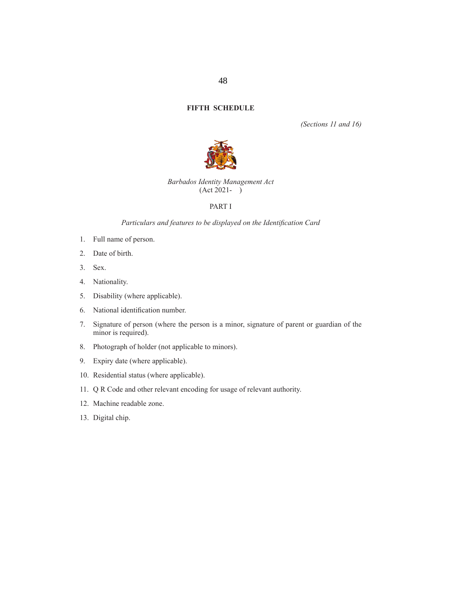#### **FIFTH SCHEDULE**

*(Sections 11 and 16)*



#### *Barbados Identity Management Act*  $(Act 2021 - )$

#### PART I

# Particulars and features to be displayed on the Identification Card

- 1. Full name of person.
- 2. Date of birth.
- 3. Sex.
- 4. Nationality.
- 5. Disability (where applicable).
- 6. National identification number.
- 7. Signature of person (where the person is a minor, signature of parent or guardian of the minor is required).
- 8. Photograph of holder (not applicable to minors).
- 9. Expiry date (where applicable).
- 10. Residential status (where applicable).
- 11. Q R Code and other relevant encoding for usage of relevant authority.
- 12. Machine readable zone.
- 13. Digital chip.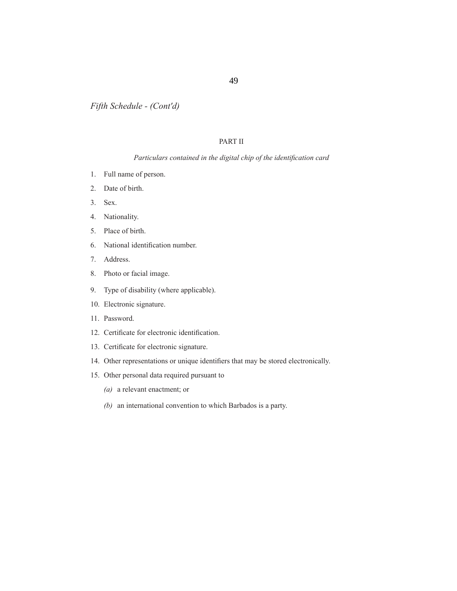*Fifth Schedule - (Cont'd)*

### PART II

#### *Particulars contained in the digital chip of the identification card*

- 1. Full name of person.
- 2. Date of birth.
- 3. Sex.
- 4. Nationality.
- 5. Place of birth.
- 6. National identification number.
- 7. Address.
- 8. Photo or facial image.
- 9. Type of disability (where applicable).
- 10. Electronic signature.
- 11. Password.
- 12. Certificate for electronic identification.
- 13. Certificate for electronic signature.
- 14. Other representations or unique identifiers that may be stored electronically.
- 15. Other personal data required pursuant to
	- *(a)* a relevant enactment; or
	- *(b)* an international convention to which Barbados is a party.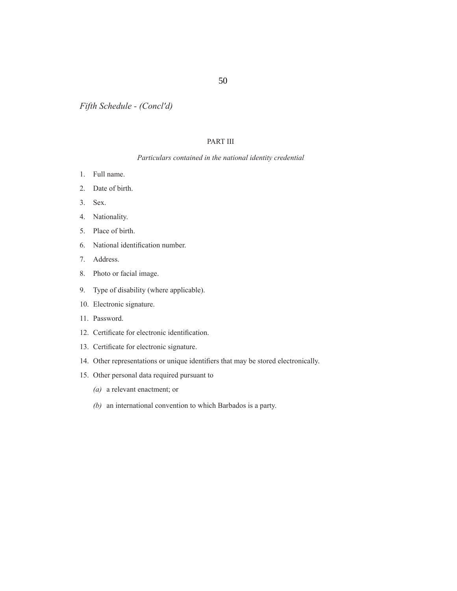*Fifth Schedule - (Concl'd)*

## PART III

#### *Particulars contained in the national identity credential*

- 1. Full name.
- 2. Date of birth.
- 3. Sex.
- 4. Nationality.
- 5. Place of birth.
- 6. National identification number.
- 7. Address.
- 8. Photo or facial image.
- 9. Type of disability (where applicable).
- 10. Electronic signature.
- 11. Password.
- 12. Certificate for electronic identification.
- 13. Certificate for electronic signature.
- 14. Other representations or unique identifiers that may be stored electronically.
- 15. Other personal data required pursuant to
	- *(a)* a relevant enactment; or
	- *(b)* an international convention to which Barbados is a party.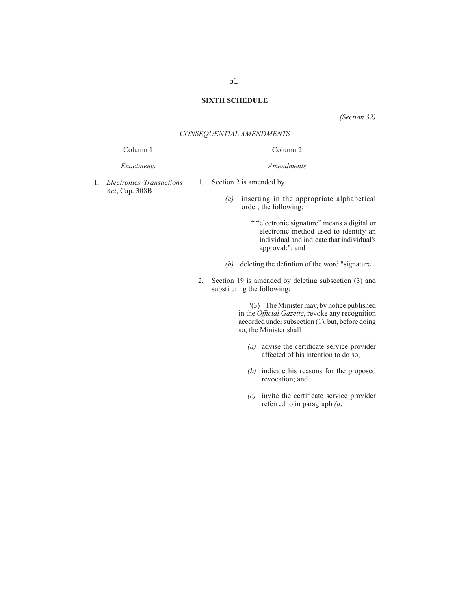#### **SIXTH SCHEDULE**

*(Section 32)*

#### *CONSEQUENTIAL AMENDMENTS*

1. Section 2 is amended by

#### Column 1

#### *Enactments*

1. *Electronics Transactions Act*, Cap. 308B

Column 2

*Amendments*

*(a)* inserting in the appropriate alphabetical order, the following:

- " "electronic signature" means a digital or electronic method used to identify an individual and indicate that individual's approval;"; and
- $(b)$  deleting the defintion of the word "signature".
- 2. Section 19 is amended by deleting subsection (3) and substituting the following:

 "(3) The Minister may, by notice published in the *Official Gazette*, revoke any recognition accorded under subsection (1), but, before doing so, the Minister shall

- *(a)* advise the certificate service provider affected of his intention to do so;
- *(b)* indicate his reasons for the proposed revocation; and
- $(c)$  invite the certificate service provider referred to in paragraph *(a)*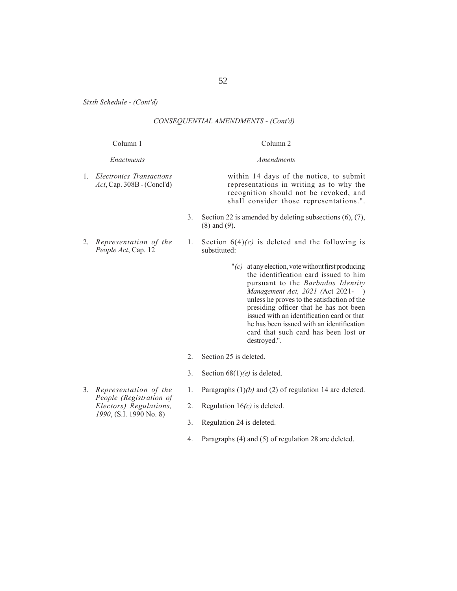*Sixth Schedule - (Cont'd)*

### *CONSEQUENTIAL AMENDMENTS - (Cont'd)*

|    | Column 1                                                  |                  | Column <sub>2</sub>                                                                                                                                                                                                                                                                                                                                                                                                |
|----|-----------------------------------------------------------|------------------|--------------------------------------------------------------------------------------------------------------------------------------------------------------------------------------------------------------------------------------------------------------------------------------------------------------------------------------------------------------------------------------------------------------------|
|    | Enactments                                                |                  | Amendments                                                                                                                                                                                                                                                                                                                                                                                                         |
| 1. | Electronics Transactions<br>$Act$ , Cap. 308B - (Concl'd) |                  | within 14 days of the notice, to submit<br>representations in writing as to why the<br>recognition should not be revoked, and<br>shall consider those representations.".                                                                                                                                                                                                                                           |
|    |                                                           | 3.               | Section 22 is amended by deleting subsections $(6)$ , $(7)$ ,<br>$(8)$ and $(9)$ .                                                                                                                                                                                                                                                                                                                                 |
| 2. | Representation of the<br>People Act, Cap. 12              | 1.               | Section $6(4)(c)$ is deleted and the following is<br>substituted:                                                                                                                                                                                                                                                                                                                                                  |
|    |                                                           |                  | $"(c)$ at any election, vote without first producing<br>the identification card issued to him<br>pursuant to the Barbados Identity<br>Management Act, 2021 (Act 2021-)<br>unless he proves to the satisfaction of the<br>presiding officer that he has not been<br>issued with an identification card or that<br>he has been issued with an identification<br>card that such card has been lost or<br>destroyed.". |
|    |                                                           | $\overline{2}$ . | Section 25 is deleted.                                                                                                                                                                                                                                                                                                                                                                                             |
|    |                                                           | 3.               | Section $68(1)(e)$ is deleted.                                                                                                                                                                                                                                                                                                                                                                                     |
|    | 3. Representation of the                                  | 1.               | Paragraphs $(1)(b)$ and $(2)$ of regulation 14 are deleted.                                                                                                                                                                                                                                                                                                                                                        |

- *People (Registration of Electors) Regulations, 1990*, (S.I. 1990 No. 8)
- 2. Regulation 16*(c)* is deleted. 3. Regulation 24 is deleted.
- 4. Paragraphs (4) and (5) of regulation 28 are deleted.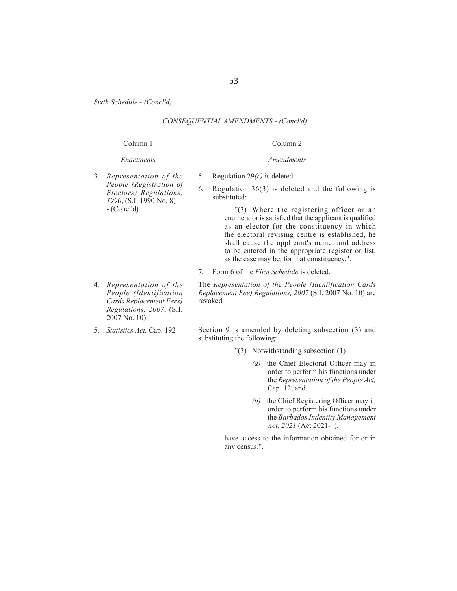*Sixth Schedule - (Concl'd)*

#### *CONSEQUENTIAL AMENDMENTS - (Concl'd)*

#### Column 1

#### *Enactments*

3. *Representation of the People (Registration of Electors) Regulations, 1990*, (S.I. 1990 No. 8) - (Concl'd)

- 4. *Representation of the People (Identification Cards Replacement Fees) Regulations, 2007*, (S.I. 2007 No. 10)
- 5. *Statistics Act,* Cap. 192

Section 9 is amended by deleting subsection (3) and

- "(3) Notwithstanding subsection (1)
	- *(a)* the Chief Electoral Officer may in order to perform his functions under the *Representation of the People Act,*  Cap. 12; and
	- *(b)* the Chief Registering Officer may in order to perform his functions under the *Barbados Indentity Management Act, 2021* (Act 2021- ),

have access to the information obtained for or in any census.".

#### 53

Column 2 *Amendments*

- 5. Regulation 29*(c)* is deleted.
- 6. Regulation 36(3) is deleted and the following is substituted:

 "(3) Where the registering officer or an enumerator is satisfied that the applicant is qualified as an elector for the constituency in which the electoral revising centre is established, he shall cause the applicant's name, and address to be entered in the appropriate register or list,

7. Form 6 of the *First Schedule* is deleted.

substituting the following:

The *Representation of the People (Identification Cards Replacement Fee) Regulations, 2007* (S.I. 2007 No. 10) are revoked.

as the case may be, for that constituency.".